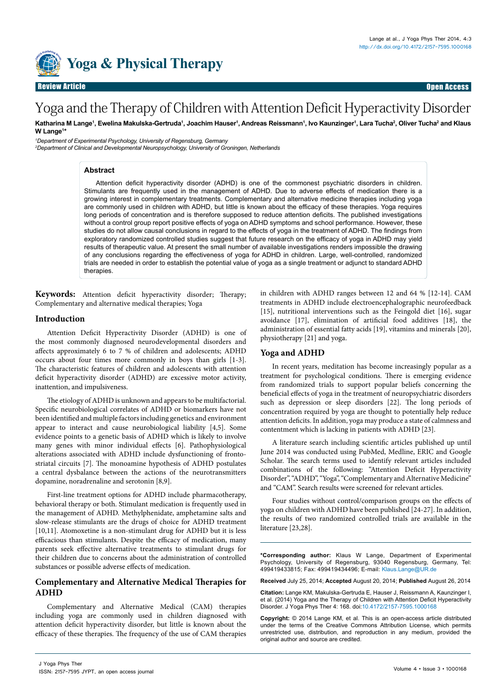

# Yoga and the Therapy of Children with Attention Deficit Hyperactivity Disorder

Katharina M Lange', Ewelina Makulska-Gertruda', Joachim Hauser', Andreas Reissmann', Ivo Kaunzinger', Lara Tucha<sup>2</sup>, Oliver Tucha<sup>2</sup> and Klaus **W Lange1 \***

*1 Department of Experimental Psychology, University of Regensburg, Germany*

*2 Department of Clinical and Developmental Neuropsychology, University of Groningen, Netherlands*

#### **Abstract**

Attention deficit hyperactivity disorder (ADHD) is one of the commonest psychiatric disorders in children. Stimulants are frequently used in the management of ADHD. Due to adverse effects of medication there is a growing interest in complementary treatments. Complementary and alternative medicine therapies including yoga are commonly used in children with ADHD, but little is known about the efficacy of these therapies. Yoga requires long periods of concentration and is therefore supposed to reduce attention deficits. The published investigations without a control group report positive effects of yoga on ADHD symptoms and school performance. However, these studies do not allow causal conclusions in regard to the effects of yoga in the treatment of ADHD. The findings from exploratory randomized controlled studies suggest that future research on the efficacy of yoga in ADHD may yield results of therapeutic value. At present the small number of available investigations renders impossible the drawing of any conclusions regarding the effectiveness of yoga for ADHD in children. Large, well-controlled, randomized trials are needed in order to establish the potential value of yoga as a single treatment or adjunct to standard ADHD therapies

**Keywords:** Attention deficit hyperactivity disorder; Therapy; Complementary and alternative medical therapies; Yoga

#### **Introduction**

Attention Deficit Hyperactivity Disorder (ADHD) is one of the most commonly diagnosed neurodevelopmental disorders and affects approximately 6 to 7 % of children and adolescents; ADHD occurs about four times more commonly in boys than girls [1-3]. The characteristic features of children and adolescents with attention deficit hyperactivity disorder (ADHD) are excessive motor activity, inattention, and impulsiveness.

The etiology of ADHD is unknown and appears to be multifactorial. Specific neurobiological correlates of ADHD or biomarkers have not been identified and multiple factors including genetics and environment appear to interact and cause neurobiological liability [4,5]. Some evidence points to a genetic basis of ADHD which is likely to involve many genes with minor individual effects [6]. Pathophysiological alterations associated with ADHD include dysfunctioning of frontostriatal circuits [7]. The monoamine hypothesis of ADHD postulates a central dysbalance between the actions of the neurotransmitters dopamine, noradrenaline and serotonin [8,9].

First-line treatment options for ADHD include pharmacotherapy, behavioral therapy or both. Stimulant medication is frequently used in the management of ADHD. Methylphenidate, amphetamine salts and slow-release stimulants are the drugs of choice for ADHD treatment [10,11]. Atomoxetine is a non-stimulant drug for ADHD but it is less efficacious than stimulants. Despite the efficacy of medication, many parents seek effective alternative treatments to stimulant drugs for their children due to concerns about the administration of controlled substances or possible adverse effects of medication.

## **Complementary and Alternative Medical Therapies for ADHD**

Complementary and Alternative Medical (CAM) therapies including yoga are commonly used in children diagnosed with attention deficit hyperactivity disorder, but little is known about the efficacy of these therapies. The frequency of the use of CAM therapies in children with ADHD ranges between 12 and 64 % [12-14]. CAM treatments in ADHD include electroencephalographic neurofeedback [15], nutritional interventions such as the Feingold diet [16], sugar avoidance [17], elimination of artificial food additives [18], the administration of essential fatty acids [19], vitamins and minerals [20], physiotherapy [21] and yoga.

### **Yoga and ADHD**

In recent years, meditation has become increasingly popular as a treatment for psychological conditions. There is emerging evidence from randomized trials to support popular beliefs concerning the beneficial effects of yoga in the treatment of neuropsychiatric disorders such as depression or sleep disorders [22]. The long periods of concentration required by yoga are thought to potentially help reduce attention deficits. In addition, yoga may produce a state of calmness and contentment which is lacking in patients with ADHD [23].

A literature search including scientific articles published up until June 2014 was conducted using PubMed, Medline, ERIC and Google Scholar. The search terms used to identify relevant articles included combinations of the following: "Attention Deficit Hyperactivity Disorder", "ADHD", "Yoga", "Complementary and Alternative Medicine" and "CAM". Search results were screened for relevant articles.

Four studies without control/comparison groups on the effects of yoga on children with ADHD have been published [24-27]. In addition, the results of two randomized controlled trials are available in the literature [23,28].

**\*Corresponding author:** Klaus W Lange, Department of Experimental Psychology, University of Regensburg, 93040 Regensburg, Germany, Tel: 499419433815; Fax: 499419434496; E-mail: Klaus.Lange@UR.de

**Received** July 25, 2014; **Accepted** August 20, 2014; **Published** August 26, 2014

**Citation:** Lange KM, Makulska-Gertruda E, Hauser J, Reissmann A, Kaunzinger I, et al. (2014) Yoga and the Therapy of Children with Attention Deficit Hyperactivity Disorder. J Yoga Phys Ther 4: 168. doi[:10.4172/2157-7595.100016](http://dx.doi.org/10.4172/2157-7595.1000168)8

**Copyright:** © 2014 Lange KM, et al. This is an open-access article distributed under the terms of the Creative Commons Attribution License, which permits unrestricted use, distribution, and reproduction in any medium, provided the original author and source are credited.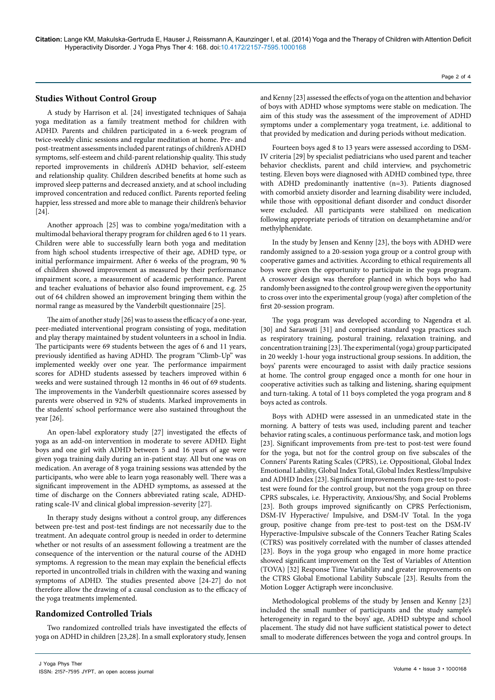#### **Studies Without Control Group**

A study by Harrison et al. [24] investigated techniques of Sahaja yoga meditation as a family treatment method for children with ADHD. Parents and children participated in a 6-week program of twice-weekly clinic sessions and regular meditation at home. Pre- and post-treatment assessments included parent ratings of children's ADHD symptoms, self-esteem and child-parent relationship quality. This study reported improvements in children's ADHD behavior, self-esteem and relationship quality. Children described benefits at home such as improved sleep patterns and decreased anxiety, and at school including improved concentration and reduced conflict. Parents reported feeling happier, less stressed and more able to manage their children's behavior [24].

Another approach [25] was to combine yoga/meditation with a multimodal behavioral therapy program for children aged 6 to 11 years. Children were able to successfully learn both yoga and meditation from high school students irrespective of their age, ADHD type, or initial performance impairment. After 6 weeks of the program, 90 % of children showed improvement as measured by their performance impairment score, a measurement of academic performance. Parent and teacher evaluations of behavior also found improvement, e.g. 25 out of 64 children showed an improvement bringing them within the normal range as measured by the Vanderbilt questionnaire [25].

The aim of another study [26] was to assess the efficacy of a one-year, peer-mediated interventional program consisting of yoga, meditation and play therapy maintained by student volunteers in a school in India. The participants were 69 students between the ages of 6 and 11 years, previously identified as having ADHD. The program "Climb-Up" was implemented weekly over one year. The performance impairment scores for ADHD students assessed by teachers improved within 6 weeks and were sustained through 12 months in 46 out of 69 students. The improvements in the Vanderbilt questionnaire scores assessed by parents were observed in 92% of students. Marked improvements in the students' school performance were also sustained throughout the year [26].

An open-label exploratory study [27] investigated the effects of yoga as an add-on intervention in moderate to severe ADHD. Eight boys and one girl with ADHD between 5 and 16 years of age were given yoga training daily during an in-patient stay. All but one was on medication. An average of 8 yoga training sessions was attended by the participants, who were able to learn yoga reasonably well. There was a significant improvement in the ADHD symptoms, as assessed at the time of discharge on the Conners abbreviated rating scale, ADHDrating scale-IV and clinical global impression-severity [27].

In therapy study designs without a control group, any differences between pre-test and post-test findings are not necessarily due to the treatment. An adequate control group is needed in order to determine whether or not results of an assessment following a treatment are the consequence of the intervention or the natural course of the ADHD symptoms. A regression to the mean may explain the beneficial effects reported in uncontrolled trials in children with the waxing and waning symptoms of ADHD. The studies presented above [24-27] do not therefore allow the drawing of a causal conclusion as to the efficacy of the yoga treatments implemented.

### **Randomized Controlled Trials**

Two randomized controlled trials have investigated the effects of yoga on ADHD in children [23,28]. In a small exploratory study, Jensen

Fourteen boys aged 8 to 13 years were assessed according to DSM-IV criteria [29] by specialist pediatricians who used parent and teacher behavior checklists, parent and child interview, and psychometric testing. Eleven boys were diagnosed with ADHD combined type, three with ADHD predominantly inattentive (n=3). Patients diagnosed with comorbid anxiety disorder and learning disability were included, while those with oppositional defiant disorder and conduct disorder were excluded. All participants were stabilized on medication following appropriate periods of titration on dexamphetamine and/or methylphenidate.

In the study by Jensen and Kenny [23], the boys with ADHD were randomly assigned to a 20-session yoga group or a control group with cooperative games and activities. According to ethical requirements all boys were given the opportunity to participate in the yoga program. A crossover design was therefore planned in which boys who had randomly been assigned to the control group were given the opportunity to cross over into the experimental group (yoga) after completion of the first 20-session program.

The yoga program was developed according to Nagendra et al. [30] and Saraswati [31] and comprised standard yoga practices such as respiratory training, postural training, relaxation training, and concentration training [23]. The experimental (yoga) group participated in 20 weekly 1-hour yoga instructional group sessions. In addition, the boys' parents were encouraged to assist with daily practice sessions at home. The control group engaged once a month for one hour in cooperative activities such as talking and listening, sharing equipment and turn-taking. A total of 11 boys completed the yoga program and 8 boys acted as controls.

Boys with ADHD were assessed in an unmedicated state in the morning. A battery of tests was used, including parent and teacher behavior rating scales, a continuous performance task, and motion logs [23]. Significant improvements from pre-test to post-test were found for the yoga, but not for the control group on five subscales of the Conners' Parents Rating Scales (CPRS), i.e. Oppositional, Global Index Emotional Lability, Global Index Total, Global Index Restless/Impulsive and ADHD Index [23]. Significant improvements from pre-test to posttest were found for the control group, but not the yoga group on three CPRS subscales, i.e. Hyperactivity, Anxious/Shy, and Social Problems [23]. Both groups improved significantly on CPRS Perfectionism, DSM-IV Hyperactive/ Impulsive, and DSM-IV Total. In the yoga group, positive change from pre-test to post-test on the DSM-IV Hyperactive-Impulsive subscale of the Conners Teacher Rating Scales (CTRS) was positively correlated with the number of classes attended [23]. Boys in the yoga group who engaged in more home practice showed significant improvement on the Test of Variables of Attention (TOVA) [32] Response Time Variability and greater improvements on the CTRS Global Emotional Lability Subscale [23]. Results from the Motion Logger Actigraph were inconclusive.

Methodological problems of the study by Jensen and Kenny [23] included the small number of participants and the study sample's heterogeneity in regard to the boys' age, ADHD subtype and school placement. The study did not have sufficient statistical power to detect small to moderate differences between the yoga and control groups. In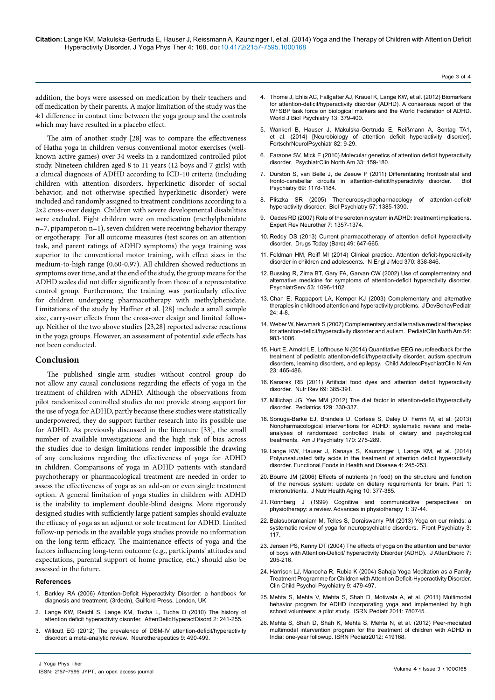addition, the boys were assessed on medication by their teachers and off medication by their parents. A major limitation of the study was the 4:1 difference in contact time between the yoga group and the controls which may have resulted in a placebo effect.

The aim of another study [28] was to compare the effectiveness of Hatha yoga in children versus conventional motor exercises (wellknown active games) over 34 weeks in a randomized controlled pilot study. Nineteen children aged 8 to 11 years (12 boys and 7 girls) with a clinical diagnosis of ADHD according to ICD-10 criteria (including children with attention disorders, hyperkinetic disorder of social behavior, and not otherwise specified hyperkinetic disorder) were included and randomly assigned to treatment conditions according to a 2x2 cross-over design. Children with severe developmental disabilities were excluded. Eight children were on medication (methylphenidate n=7, pipamperon n=1), seven children were receiving behavior therapy or ergotherapy. For all outcome measures (test scores on an attention task, and parent ratings of ADHD symptoms) the yoga training was superior to the conventional motor training, with effect sizes in the medium-to-high range (0.60-0.97). All children showed reductions in symptoms over time, and at the end of the study, the group means for the ADHD scales did not differ significantly from those of a representative control group. Furthermore, the training was particularly effective for children undergoing pharmacotherapy with methylphenidate. Limitations of the study by Haffner et al. [28] include a small sample size, carry-over effects from the cross-over design and limited followup. Neither of the two above studies [23,28] reported adverse reactions in the yoga groups. However, an assessment of potential side effects has not been conducted.

#### **Conclusion**

The published single-arm studies without control group do not allow any causal conclusions regarding the effects of yoga in the treatment of children with ADHD. Although the observations from pilot randomized controlled studies do not provide strong support for the use of yoga for ADHD, partly because these studies were statistically underpowered, they do support further research into its possible use for ADHD. As previously discussed in the literature [33], the small number of available investigations and the high risk of bias across the studies due to design limitations render impossible the drawing of any conclusions regarding the effectiveness of yoga for ADHD in children. Comparisons of yoga in ADHD patients with standard psychotherapy or pharmacological treatment are needed in order to assess the effectiveness of yoga as an add-on or even single treatment option. A general limitation of yoga studies in children with ADHD is the inability to implement double-blind designs. More rigorously designed studies with sufficiently large patient samples should evaluate the efficacy of yoga as an adjunct or sole treatment for ADHD. Limited follow-up periods in the available yoga studies provide no information on the long-term efficacy. The maintenance effects of yoga and the factors influencing long-term outcome (e.g., participants' attitudes and expectations, parental support of home practice, etc.) should also be assessed in the future.

#### **References**

- 1. Barkley RA (2006) Attention-Deficit Hyperactivity Disorder: a handbook for diagnosis and treatment. (3rdedn), Guilford Press, London, UK
- 2. [Lange KW, Reichl S, Lange KM, Tucha L, Tucha O \(2010\) The history of](http://www.ncbi.nlm.nih.gov/pubmed/21258430) [attention deficit hyperactivity disorder. AttenDeficHyperactDisord 2: 241-255.](http://www.ncbi.nlm.nih.gov/pubmed/21258430)
- 3. [Willcutt EG \(2012\) The prevalence of DSM-IV attention-deficit/hyperactivity](http://www.ncbi.nlm.nih.gov/pubmed/22976615) [disorder: a meta-analytic review. Neurotherapeutics 9: 490-499.](http://www.ncbi.nlm.nih.gov/pubmed/22976615)
- 25. [Mehta S, Mehta V, Mehta S, Shah D, Motiwala A, et al. \(2011\) Multimodal](http://www.ncbi.nlm.nih.gov/pubmed/22389788)  behavior program for ADHD incorporating yoga and implemented by high
- 26. [Mehta S, Shah D, Shah K, Mehta S, Mehta N, et al. \(2012\) Peer-mediated](http://www.ncbi.nlm.nih.gov/pmc/articles/PMC3539379/)  [multimodal intervention program for the treatment of children with ADHD in](http://www.ncbi.nlm.nih.gov/pmc/articles/PMC3539379/)  [India: one-year followup. ISRN Pediatr2012: 419168.](http://www.ncbi.nlm.nih.gov/pmc/articles/PMC3539379/)
- 5. [Wankerl B, Hauser J, Makulska-Gertruda E, Reißmann A, Sontag TA1,](http://www.ncbi.nlm.nih.gov/pubmed/24446115)  [et al. \(2014\) \[Neurobiology of attention deficit hyperactivity disorder\].](http://www.ncbi.nlm.nih.gov/pubmed/24446115)  [FortschrNeurolPsychiatr 82: 9-29.](http://www.ncbi.nlm.nih.gov/pubmed/24446115)
- 6. [Faraone SV, Mick E \(2010\) Molecular genetics of attention deficit hyperactivity](http://www.ncbi.nlm.nih.gov/pubmed/20159345)  [disorder. PsychiatrClin North Am 33: 159-180.](http://www.ncbi.nlm.nih.gov/pubmed/20159345)
- 7. [Durston S, van Belle J, de Zeeuw P \(2011\) Differentiating frontostriatal and](http://www.ncbi.nlm.nih.gov/pubmed/20965496)  [fronto-cerebellar circuits in attention-deficit/hyperactivity disorder. Biol](http://www.ncbi.nlm.nih.gov/pubmed/20965496)  [Psychiatry 69: 1178-1184.](http://www.ncbi.nlm.nih.gov/pubmed/20965496)
- 8. [Pliszka SR \(2005\) Theneuropsychopharmacology of attention-deficit/](http://www.ncbi.nlm.nih.gov/pubmed/15950012) [hyperactivity disorder. Biol Psychiatry 57: 1385-1390.](http://www.ncbi.nlm.nih.gov/pubmed/15950012)
- Oades RD (2007) Role of the serotonin system in ADHD: treatment implications. [Expert Rev Neurother 7: 1357-1374.](http://www.ncbi.nlm.nih.gov/pubmed/17939772)
- 10. [Reddy DS \(2013\) Current pharmacotherapy of attention deficit hyperactivity](http://www.ncbi.nlm.nih.gov/pubmed/24191257)  [disorder. Drugs Today \(Barc\) 49: 647-665.](http://www.ncbi.nlm.nih.gov/pubmed/24191257)
- 11. [Feldman HM, Reiff MI \(2014\) Clinical practice. Attention deficit-hyperactivity](http://www.ncbi.nlm.nih.gov/pubmed/24571756)  [disorder in children and adolescents. N Engl J Med 370: 838-846.](http://www.ncbi.nlm.nih.gov/pubmed/24571756)
- 12. [Bussing R, Zima BT, Gary FA, Garvan CW \(2002\) Use of complementary and](http://www.ncbi.nlm.nih.gov/pubmed/12221307)  [alternative medicine for symptoms of attention-deficit hyperactivity disorder.](http://www.ncbi.nlm.nih.gov/pubmed/12221307)  [PsychiatrServ 53: 1096-1102.](http://www.ncbi.nlm.nih.gov/pubmed/12221307)
- 13. [Chan E, Rappaport LA, Kemper KJ \(2003\) Complementary and alternative](http://www.ncbi.nlm.nih.gov/pubmed/12584479)  [therapies in childhood attention and hyperactivity problems. J DevBehavPediatr](http://www.ncbi.nlm.nih.gov/pubmed/12584479)  [24: 4-8.](http://www.ncbi.nlm.nih.gov/pubmed/12584479)
- 14. [Weber W, Newmark S \(2007\) Complementary and alternative medical therapies](http://www.ncbi.nlm.nih.gov/pubmed/18061787)  [for attention-deficit/hyperactivity disorder and autism. PediatrClin North Am 54:](http://www.ncbi.nlm.nih.gov/pubmed/18061787)  [983-1006.](http://www.ncbi.nlm.nih.gov/pubmed/18061787)
- 15. [Hurt E, Arnold LE, Lofthouse N \(2014\) Quantitative EEG neurofeedback for the](http://www.ncbi.nlm.nih.gov/pubmed/24975622)  [treatment of pediatric attention-deficit/hyperactivity disorder, autism spectrum](http://www.ncbi.nlm.nih.gov/pubmed/24975622)  [disorders, learning disorders, and epilepsy. Child AdolescPsychiatrClin N Am](http://www.ncbi.nlm.nih.gov/pubmed/24975622)  [23: 465-486.](http://www.ncbi.nlm.nih.gov/pubmed/24975622)
- 16. [Kanarek RB \(2011\) Artificial food dyes and attention deficit hyperactivity](http://www.ncbi.nlm.nih.gov/pubmed/21729092)  [disorder. Nutr Rev 69: 385-391.](http://www.ncbi.nlm.nih.gov/pubmed/21729092)
- 17. [Millichap JG, Yee MM \(2012\) The diet factor in attention-deficit/hyperactivity](http://www.ncbi.nlm.nih.gov/pubmed/22232312)  [disorder. Pediatrics 129: 330-337.](http://www.ncbi.nlm.nih.gov/pubmed/22232312)
- 18. [Sonuga-Barke EJ, Brandeis D, Cortese S, Daley D, Ferrin M, et al. \(2013\)](http://www.ncbi.nlm.nih.gov/pubmed/23360949)  [Nonpharmacological interventions for ADHD: systematic review and meta](http://www.ncbi.nlm.nih.gov/pubmed/23360949)[analyses of randomized controlled trials of dietary and psychological](http://www.ncbi.nlm.nih.gov/pubmed/23360949)  [treatments. Am J Psychiatry 170: 275-289.](http://www.ncbi.nlm.nih.gov/pubmed/23360949)
- 19. [Lange KW, Hauser J, Kanaya S, Kaunzinger I, Lange KM, et al. \(2014\)](http://functionalfoodscenter.net/files/91155657.pdf)  [Polyunsaturated fatty acids in the treatment of attention deficit hyperactivity](http://functionalfoodscenter.net/files/91155657.pdf)  [disorder. Functional Foods in Health and Disease 4: 245-253.](http://functionalfoodscenter.net/files/91155657.pdf)
- 20. [Bourre JM \(2006\) Effects of nutrients \(in food\) on the structure and function](http://www.ncbi.nlm.nih.gov/pubmed/17066209)  [of the nervous system: update on dietary requirements for brain. Part 1:](http://www.ncbi.nlm.nih.gov/pubmed/17066209)  [micronutrients. J Nutr Health Aging 10: 377-385.](http://www.ncbi.nlm.nih.gov/pubmed/17066209)
- 21. [Rönnberg J \(1999\) Cognitive and communicative perspectives on](http://www.researchgate.net/publication/232060949_Cognitive_and_Communicative_Perspectives_on_Physiotherapy_a_Review)  [physiotherapy: a review. Advances in physiotherapy 1: 37-44.](http://www.researchgate.net/publication/232060949_Cognitive_and_Communicative_Perspectives_on_Physiotherapy_a_Review)
- 22. [Balasubramaniam M, Telles S, Doraiswamy PM \(2013\) Yoga on our minds: a](http://www.ncbi.nlm.nih.gov/pubmed/23355825)  [systematic review of yoga for neuropsychiatric disorders. Front Psychiatry 3:](http://www.ncbi.nlm.nih.gov/pubmed/23355825)  [117.](http://www.ncbi.nlm.nih.gov/pubmed/23355825)
- 23. [Jensen PS, Kenny DT \(2004\) The effects of yoga on the attention and behavior](http://www.ncbi.nlm.nih.gov/pubmed/15487477)  [of boys with Attention-Deficit/ hyperactivity Disorder \(ADHD\). J AttenDisord 7:](http://www.ncbi.nlm.nih.gov/pubmed/15487477)  [205-216.](http://www.ncbi.nlm.nih.gov/pubmed/15487477)

24. [Harrison LJ, Manocha R, Rubia K \(2004\) Sahaja Yoga Meditation as a Family](http://www.pittsburghadhdcoach.com/uploads/6/1/9/7/6197257/adhd.pdf)  [Treatment Programme for Children with Attention Deficit-Hyperactivity Disorder.](http://www.pittsburghadhdcoach.com/uploads/6/1/9/7/6197257/adhd.pdf) 

[school volunteers: a pilot study. ISRN Pediatr 2011: 780745.](http://www.ncbi.nlm.nih.gov/pubmed/22389788)